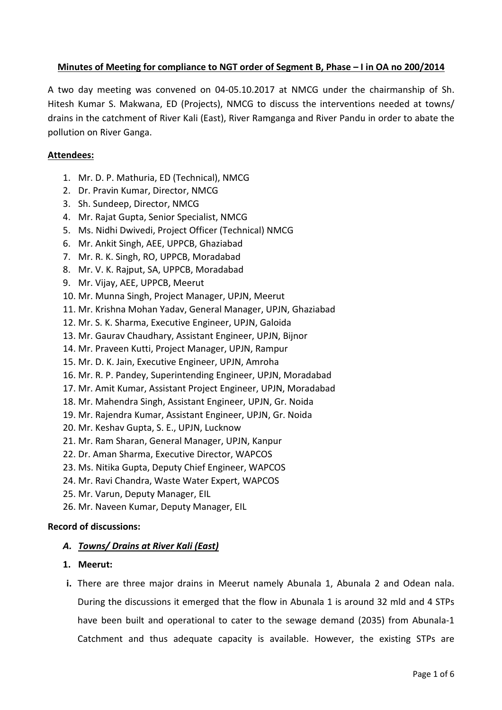## **Minutes of Meeting for compliance to NGT order of Segment B, Phase – I in OA no 200/2014**

A two day meeting was convened on 04-05.10.2017 at NMCG under the chairmanship of Sh. Hitesh Kumar S. Makwana, ED (Projects), NMCG to discuss the interventions needed at towns/ drains in the catchment of River Kali (East), River Ramganga and River Pandu in order to abate the pollution on River Ganga.

### **Attendees:**

- 1. Mr. D. P. Mathuria, ED (Technical), NMCG
- 2. Dr. Pravin Kumar, Director, NMCG
- 3. Sh. Sundeep, Director, NMCG
- 4. Mr. Rajat Gupta, Senior Specialist, NMCG
- 5. Ms. Nidhi Dwivedi, Project Officer (Technical) NMCG
- 6. Mr. Ankit Singh, AEE, UPPCB, Ghaziabad
- 7. Mr. R. K. Singh, RO, UPPCB, Moradabad
- 8. Mr. V. K. Rajput, SA, UPPCB, Moradabad
- 9. Mr. Vijay, AEE, UPPCB, Meerut
- 10. Mr. Munna Singh, Project Manager, UPJN, Meerut
- 11. Mr. Krishna Mohan Yadav, General Manager, UPJN, Ghaziabad
- 12. Mr. S. K. Sharma, Executive Engineer, UPJN, Galoida
- 13. Mr. Gaurav Chaudhary, Assistant Engineer, UPJN, Bijnor
- 14. Mr. Praveen Kutti, Project Manager, UPJN, Rampur
- 15. Mr. D. K. Jain, Executive Engineer, UPJN, Amroha
- 16. Mr. R. P. Pandey, Superintending Engineer, UPJN, Moradabad
- 17. Mr. Amit Kumar, Assistant Project Engineer, UPJN, Moradabad
- 18. Mr. Mahendra Singh, Assistant Engineer, UPJN, Gr. Noida
- 19. Mr. Rajendra Kumar, Assistant Engineer, UPJN, Gr. Noida
- 20. Mr. Keshav Gupta, S. E., UPJN, Lucknow
- 21. Mr. Ram Sharan, General Manager, UPJN, Kanpur
- 22. Dr. Aman Sharma, Executive Director, WAPCOS
- 23. Ms. Nitika Gupta, Deputy Chief Engineer, WAPCOS
- 24. Mr. Ravi Chandra, Waste Water Expert, WAPCOS
- 25. Mr. Varun, Deputy Manager, EIL
- 26. Mr. Naveen Kumar, Deputy Manager, EIL

# **Record of discussions:**

# *A. Towns/ Drains at River Kali (East)*

- **1. Meerut:**
- **i.** There are three major drains in Meerut namely Abunala 1, Abunala 2 and Odean nala. During the discussions it emerged that the flow in Abunala 1 is around 32 mld and 4 STPs have been built and operational to cater to the sewage demand (2035) from Abunala-1 Catchment and thus adequate capacity is available. However, the existing STPs are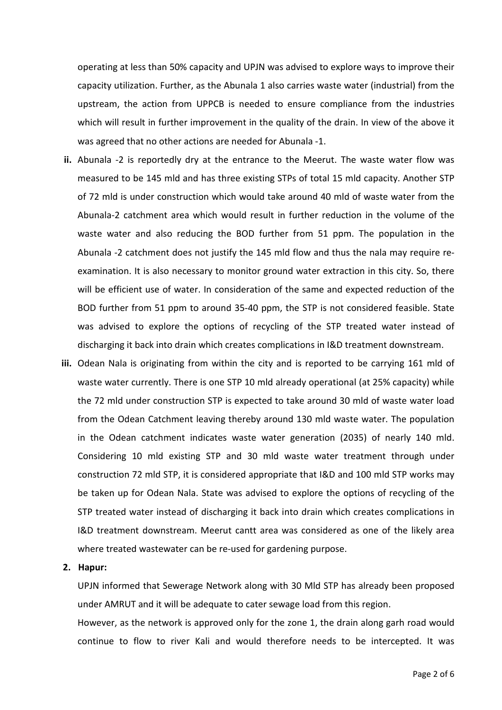operating at less than 50% capacity and UPJN was advised to explore ways to improve their capacity utilization. Further, as the Abunala 1 also carries waste water (industrial) from the upstream, the action from UPPCB is needed to ensure compliance from the industries which will result in further improvement in the quality of the drain. In view of the above it was agreed that no other actions are needed for Abunala -1.

- **ii.** Abunala -2 is reportedly dry at the entrance to the Meerut. The waste water flow was measured to be 145 mld and has three existing STPs of total 15 mld capacity. Another STP of 72 mld is under construction which would take around 40 mld of waste water from the Abunala-2 catchment area which would result in further reduction in the volume of the waste water and also reducing the BOD further from 51 ppm. The population in the Abunala -2 catchment does not justify the 145 mld flow and thus the nala may require reexamination. It is also necessary to monitor ground water extraction in this city. So, there will be efficient use of water. In consideration of the same and expected reduction of the BOD further from 51 ppm to around 35-40 ppm, the STP is not considered feasible. State was advised to explore the options of recycling of the STP treated water instead of discharging it back into drain which creates complications in I&D treatment downstream.
- **iii.** Odean Nala is originating from within the city and is reported to be carrying 161 mld of waste water currently. There is one STP 10 mld already operational (at 25% capacity) while the 72 mld under construction STP is expected to take around 30 mld of waste water load from the Odean Catchment leaving thereby around 130 mld waste water. The population in the Odean catchment indicates waste water generation (2035) of nearly 140 mld. Considering 10 mld existing STP and 30 mld waste water treatment through under construction 72 mld STP, it is considered appropriate that I&D and 100 mld STP works may be taken up for Odean Nala. State was advised to explore the options of recycling of the STP treated water instead of discharging it back into drain which creates complications in I&D treatment downstream. Meerut cantt area was considered as one of the likely area where treated wastewater can be re-used for gardening purpose.

### **2. Hapur:**

UPJN informed that Sewerage Network along with 30 Mld STP has already been proposed under AMRUT and it will be adequate to cater sewage load from this region.

However, as the network is approved only for the zone 1, the drain along garh road would continue to flow to river Kali and would therefore needs to be intercepted. It was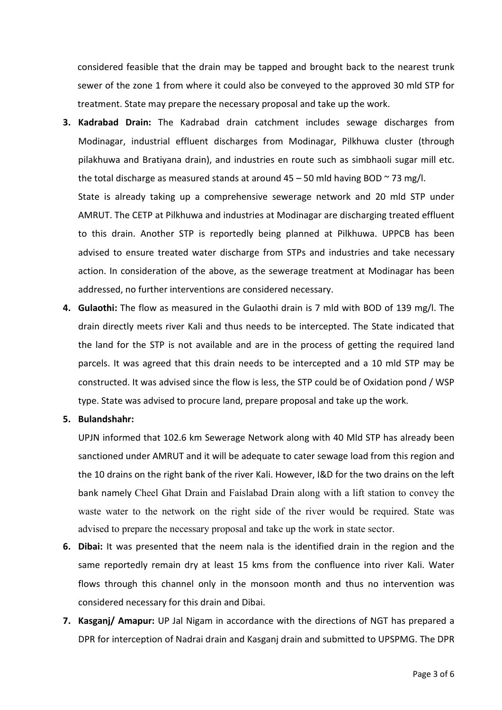considered feasible that the drain may be tapped and brought back to the nearest trunk sewer of the zone 1 from where it could also be conveyed to the approved 30 mld STP for treatment. State may prepare the necessary proposal and take up the work.

- **3. Kadrabad Drain:** The Kadrabad drain catchment includes sewage discharges from Modinagar, industrial effluent discharges from Modinagar, Pilkhuwa cluster (through pilakhuwa and Bratiyana drain), and industries en route such as simbhaoli sugar mill etc. the total discharge as measured stands at around  $45 - 50$  mld having BOD  $\sim$  73 mg/l. State is already taking up a comprehensive sewerage network and 20 mld STP under AMRUT. The CETP at Pilkhuwa and industries at Modinagar are discharging treated effluent to this drain. Another STP is reportedly being planned at Pilkhuwa. UPPCB has been advised to ensure treated water discharge from STPs and industries and take necessary action. In consideration of the above, as the sewerage treatment at Modinagar has been
	- addressed, no further interventions are considered necessary.
- **4. Gulaothi:** The flow as measured in the Gulaothi drain is 7 mld with BOD of 139 mg/l. The drain directly meets river Kali and thus needs to be intercepted. The State indicated that the land for the STP is not available and are in the process of getting the required land parcels. It was agreed that this drain needs to be intercepted and a 10 mld STP may be constructed. It was advised since the flow is less, the STP could be of Oxidation pond / WSP type. State was advised to procure land, prepare proposal and take up the work.

### **5. Bulandshahr:**

UPJN informed that 102.6 km Sewerage Network along with 40 Mld STP has already been sanctioned under AMRUT and it will be adequate to cater sewage load from this region and the 10 drains on the right bank of the river Kali. However, I&D for the two drains on the left bank namely Cheel Ghat Drain and Faislabad Drain along with a lift station to convey the waste water to the network on the right side of the river would be required. State was advised to prepare the necessary proposal and take up the work in state sector.

- **6. Dibai:** It was presented that the neem nala is the identified drain in the region and the same reportedly remain dry at least 15 kms from the confluence into river Kali. Water flows through this channel only in the monsoon month and thus no intervention was considered necessary for this drain and Dibai.
- **7. Kasganj/ Amapur:** UP Jal Nigam in accordance with the directions of NGT has prepared a DPR for interception of Nadrai drain and Kasganj drain and submitted to UPSPMG. The DPR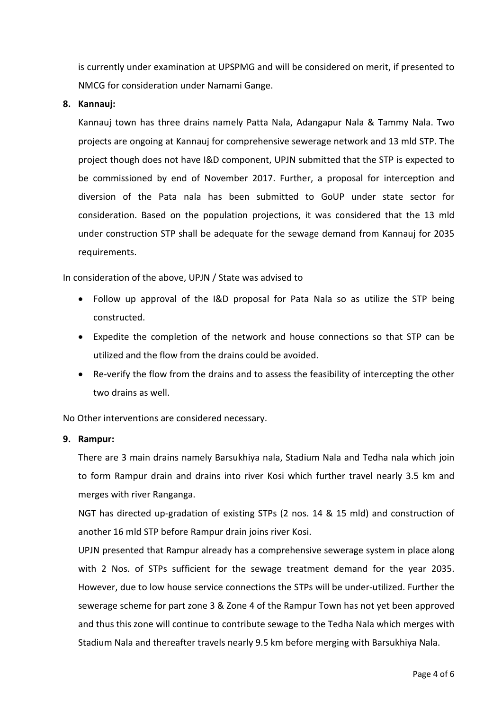is currently under examination at UPSPMG and will be considered on merit, if presented to NMCG for consideration under Namami Gange.

### **8. Kannauj:**

Kannauj town has three drains namely Patta Nala, Adangapur Nala & Tammy Nala. Two projects are ongoing at Kannauj for comprehensive sewerage network and 13 mld STP. The project though does not have I&D component, UPJN submitted that the STP is expected to be commissioned by end of November 2017. Further, a proposal for interception and diversion of the Pata nala has been submitted to GoUP under state sector for consideration. Based on the population projections, it was considered that the 13 mld under construction STP shall be adequate for the sewage demand from Kannauj for 2035 requirements.

In consideration of the above, UPJN / State was advised to

- Follow up approval of the I&D proposal for Pata Nala so as utilize the STP being constructed.
- Expedite the completion of the network and house connections so that STP can be utilized and the flow from the drains could be avoided.
- Re-verify the flow from the drains and to assess the feasibility of intercepting the other two drains as well.

No Other interventions are considered necessary.

#### **9. Rampur:**

There are 3 main drains namely Barsukhiya nala, Stadium Nala and Tedha nala which join to form Rampur drain and drains into river Kosi which further travel nearly 3.5 km and merges with river Ranganga.

NGT has directed up-gradation of existing STPs (2 nos. 14 & 15 mld) and construction of another 16 mld STP before Rampur drain joins river Kosi.

UPJN presented that Rampur already has a comprehensive sewerage system in place along with 2 Nos. of STPs sufficient for the sewage treatment demand for the year 2035. However, due to low house service connections the STPs will be under-utilized. Further the sewerage scheme for part zone 3 & Zone 4 of the Rampur Town has not yet been approved and thus this zone will continue to contribute sewage to the Tedha Nala which merges with Stadium Nala and thereafter travels nearly 9.5 km before merging with Barsukhiya Nala.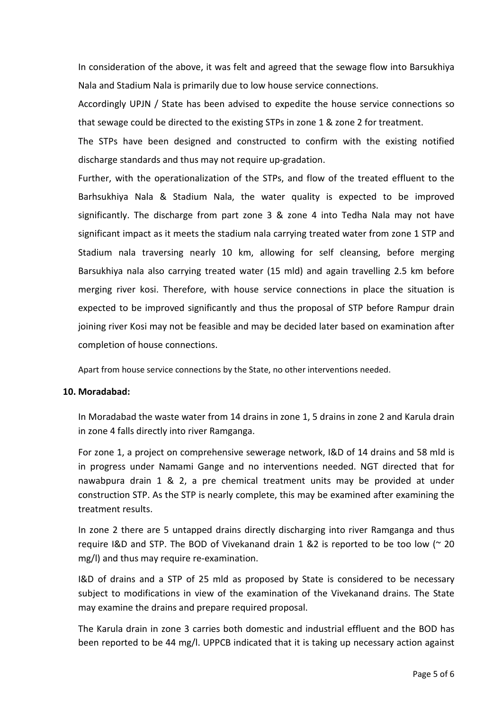In consideration of the above, it was felt and agreed that the sewage flow into Barsukhiya Nala and Stadium Nala is primarily due to low house service connections.

Accordingly UPJN / State has been advised to expedite the house service connections so that sewage could be directed to the existing STPs in zone 1 & zone 2 for treatment.

The STPs have been designed and constructed to confirm with the existing notified discharge standards and thus may not require up-gradation.

Further, with the operationalization of the STPs, and flow of the treated effluent to the Barhsukhiya Nala & Stadium Nala, the water quality is expected to be improved significantly. The discharge from part zone 3 & zone 4 into Tedha Nala may not have significant impact as it meets the stadium nala carrying treated water from zone 1 STP and Stadium nala traversing nearly 10 km, allowing for self cleansing, before merging Barsukhiya nala also carrying treated water (15 mld) and again travelling 2.5 km before merging river kosi. Therefore, with house service connections in place the situation is expected to be improved significantly and thus the proposal of STP before Rampur drain joining river Kosi may not be feasible and may be decided later based on examination after completion of house connections.

Apart from house service connections by the State, no other interventions needed.

#### **10. Moradabad:**

In Moradabad the waste water from 14 drains in zone 1, 5 drains in zone 2 and Karula drain in zone 4 falls directly into river Ramganga.

For zone 1, a project on comprehensive sewerage network, I&D of 14 drains and 58 mld is in progress under Namami Gange and no interventions needed. NGT directed that for nawabpura drain 1 & 2, a pre chemical treatment units may be provided at under construction STP. As the STP is nearly complete, this may be examined after examining the treatment results.

In zone 2 there are 5 untapped drains directly discharging into river Ramganga and thus require I&D and STP. The BOD of Vivekanand drain 1 &2 is reported to be too low (~ 20 mg/l) and thus may require re-examination.

I&D of drains and a STP of 25 mld as proposed by State is considered to be necessary subject to modifications in view of the examination of the Vivekanand drains. The State may examine the drains and prepare required proposal.

The Karula drain in zone 3 carries both domestic and industrial effluent and the BOD has been reported to be 44 mg/l. UPPCB indicated that it is taking up necessary action against